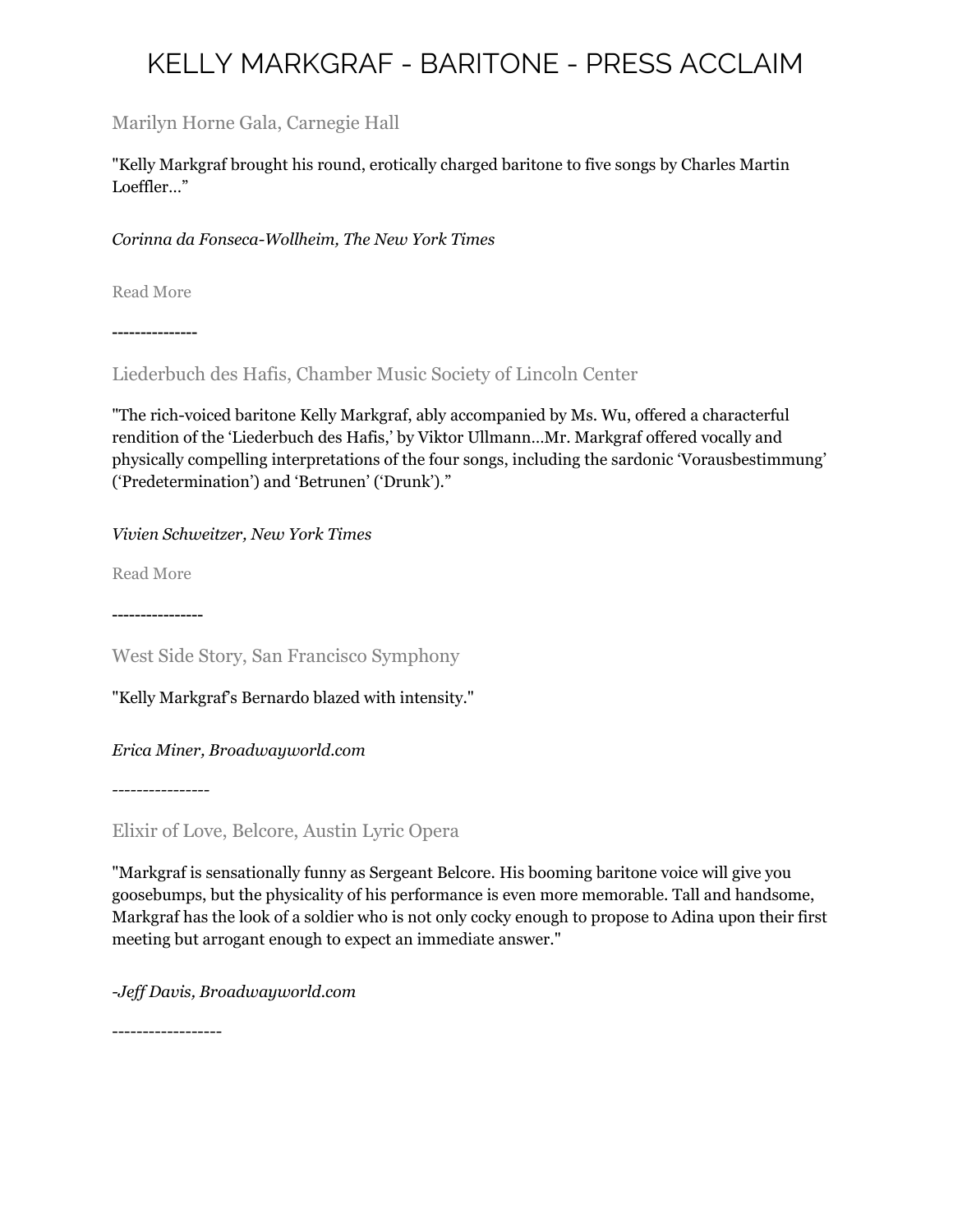### Marilyn Horne Gala, Carnegie Hall

"Kelly Markgraf brought his round, erotically charged baritone to five songs by Charles Martin Loeffler…"

#### *Corinna da Fonseca-Wollheim, The New York Times*

[Read More](http://www.nytimes.com/2013/01/22/arts/music/marilyn-hornes-proteges-in-the-song-continues.html)

---------------

Liederbuch des Hafis, Chamber Music Society of Lincoln Center

"The rich-voiced baritone Kelly Markgraf, ably accompanied by Ms. Wu, offered a characterful rendition of the 'Liederbuch des Hafis,' by Viktor Ullmann…Mr. Markgraf offered vocally and physically compelling interpretations of the four songs, including the sardonic 'Vorausbestimmung' ('Predetermination') and 'Betrunen' ('Drunk')."

*Vivien Schweitzer, New York Times*

[Read More](http://www.nytimes.com/2013/03/13/arts/music/chamber-music-society-of-lincoln-center-at-alice-tully-hall.html?_r=0)

---------------[-](http://www.nytimes.com/2013/03/13/arts/music/chamber-music-society-of-lincoln-center-at-alice-tully-hall.html?_r=0)

West Side Story, San Francisco Symphony

"Kelly Markgraf's Bernardo blazed with intensity."

*Erica Miner, Broadwayworld.com*

*----------------*

Elixir of Love, Belcore, Austin Lyric Opera

"Markgraf is sensationally funny as Sergeant Belcore. His booming baritone voice will give you goosebumps, but the physicality of his performance is even more memorable. Tall and handsome, Markgraf has the look of a soldier who is not only cocky enough to propose to Adina upon their first meeting but arrogant enough to expect an immediate answer."

*-Jeff Davis, Broadwayworld.com*

------------------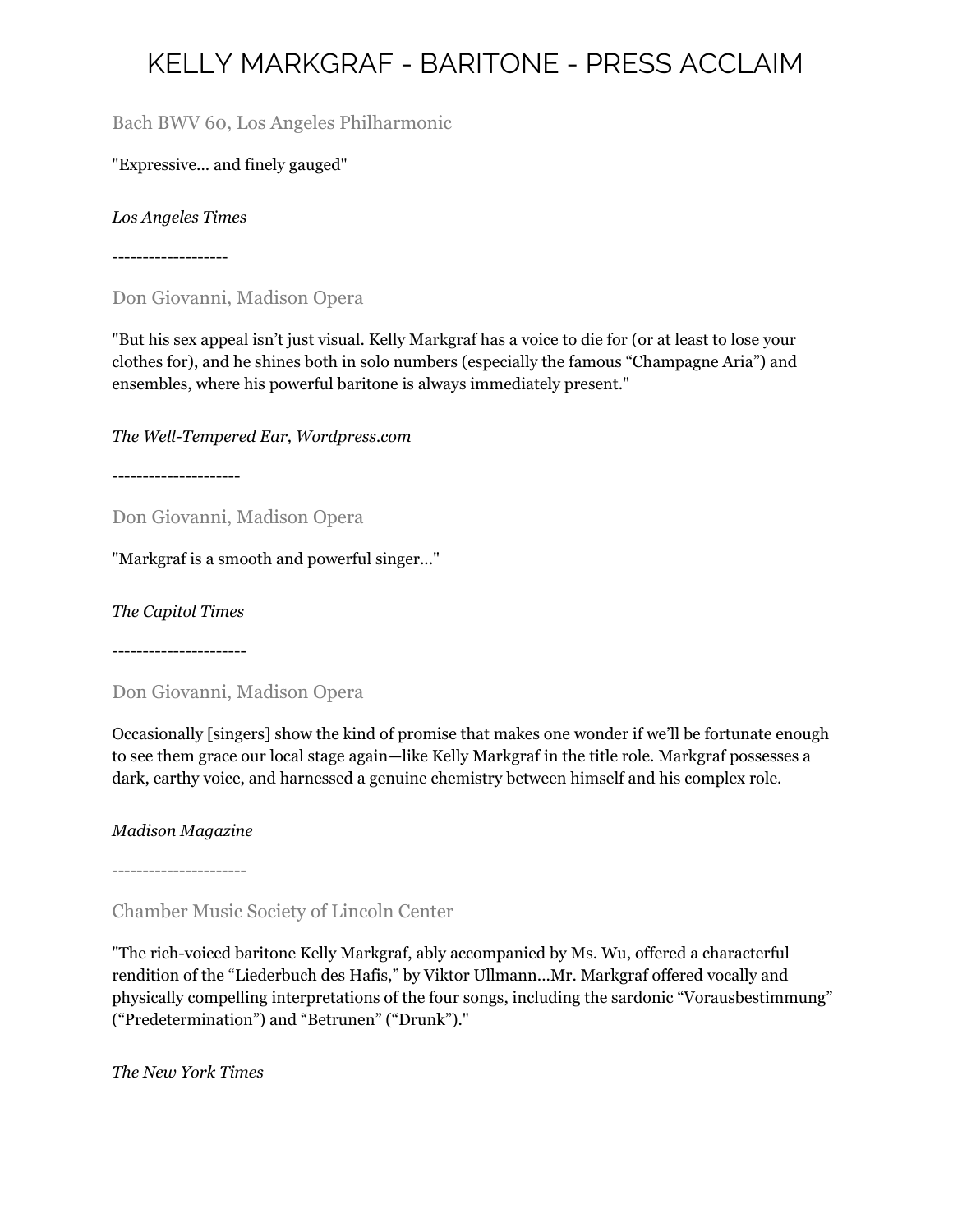Bach BWV 60, Los Angeles Philharmonic

"Expressive... and finely gauged"

*Los Angeles Times*

-------------------

Don Giovanni, Madison Opera

"But his sex appeal isn't just visual. Kelly Markgraf has a voice to die for (or at least to lose your clothes for), and he shines both in solo numbers (especially the famous "Champagne Aria") and ensembles, where his powerful baritone is always immediately present."

*The Well-Tempered Ear, Wordpress.com*

---------------------

Don Giovanni, Madison Opera

"Markgraf is a smooth and powerful singer..."

*The Capitol Times*

----------------------

Don Giovanni, Madison Opera

Occasionally [singers] show the kind of promise that makes one wonder if we'll be fortunate enough to see them grace our local stage again—like Kelly Markgraf in the title role. Markgraf possesses a dark, earthy voice, and harnessed a genuine chemistry between himself and his complex role.

*Madison Magazine*

----------------------

Chamber Music Society of Lincoln Center

"The rich-voiced baritone Kelly Markgraf, ably accompanied by Ms. Wu, offered a characterful rendition of the "Liederbuch des Hafis," by Viktor Ullmann...Mr. Markgraf offered vocally and physically compelling interpretations of the four songs, including the sardonic "Vorausbestimmung" ("Predetermination") and "Betrunen" ("Drunk")."

*The New York Times*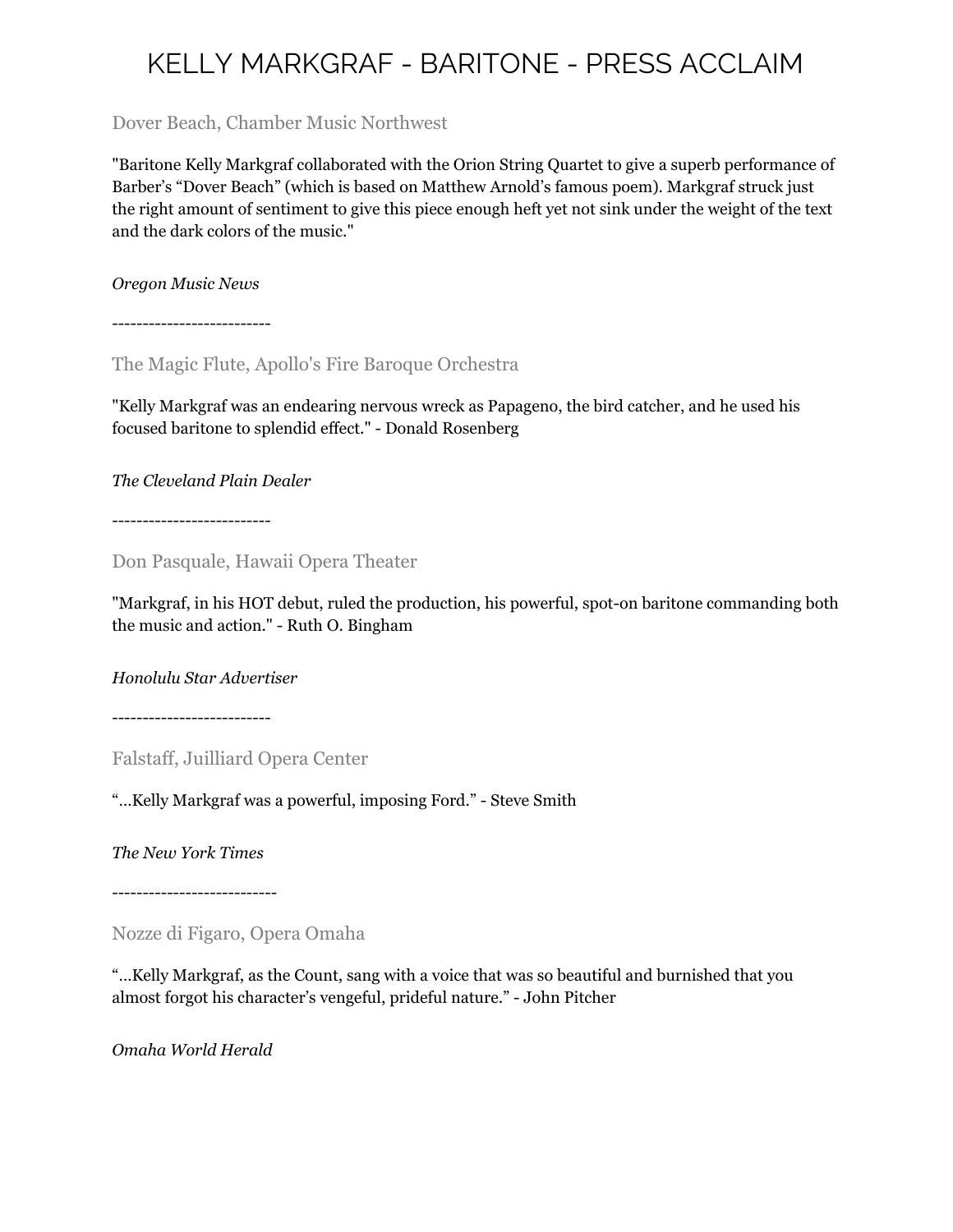Dover Beach, Chamber Music Northwest

"Baritone Kelly Markgraf collaborated with the Orion String Quartet to give a superb performance of Barber's "Dover Beach" (which is based on Matthew Arnold's famous poem). Markgraf struck just the right amount of sentiment to give this piece enough heft yet not sink under the weight of the text and the dark colors of the music."

*Oregon Music News*

--------------------------

The Magic Flute, Apollo's Fire Baroque Orchestra

"Kelly Markgraf was an endearing nervous wreck as Papageno, the bird catcher, and he used his focused baritone to splendid effect." - Donald Rosenberg

*The Cleveland Plain Dealer*

--------------------------

Don Pasquale, Hawaii Opera Theater

"Markgraf, in his HOT debut, ruled the production, his powerful, spot-on baritone commanding both the music and action." - Ruth O. Bingham

*Honolulu Star Advertiser*

--------------------------

Falstaff, Juilliard Opera Center

"…Kelly Markgraf was a powerful, imposing Ford." - Steve Smith

*The New York Times*

---------------------------

Nozze di Figaro, Opera Omaha

"…Kelly Markgraf, as the Count, sang with a voice that was so beautiful and burnished that you almost forgot his character's vengeful, prideful nature." - John Pitcher

*Omaha World Herald*